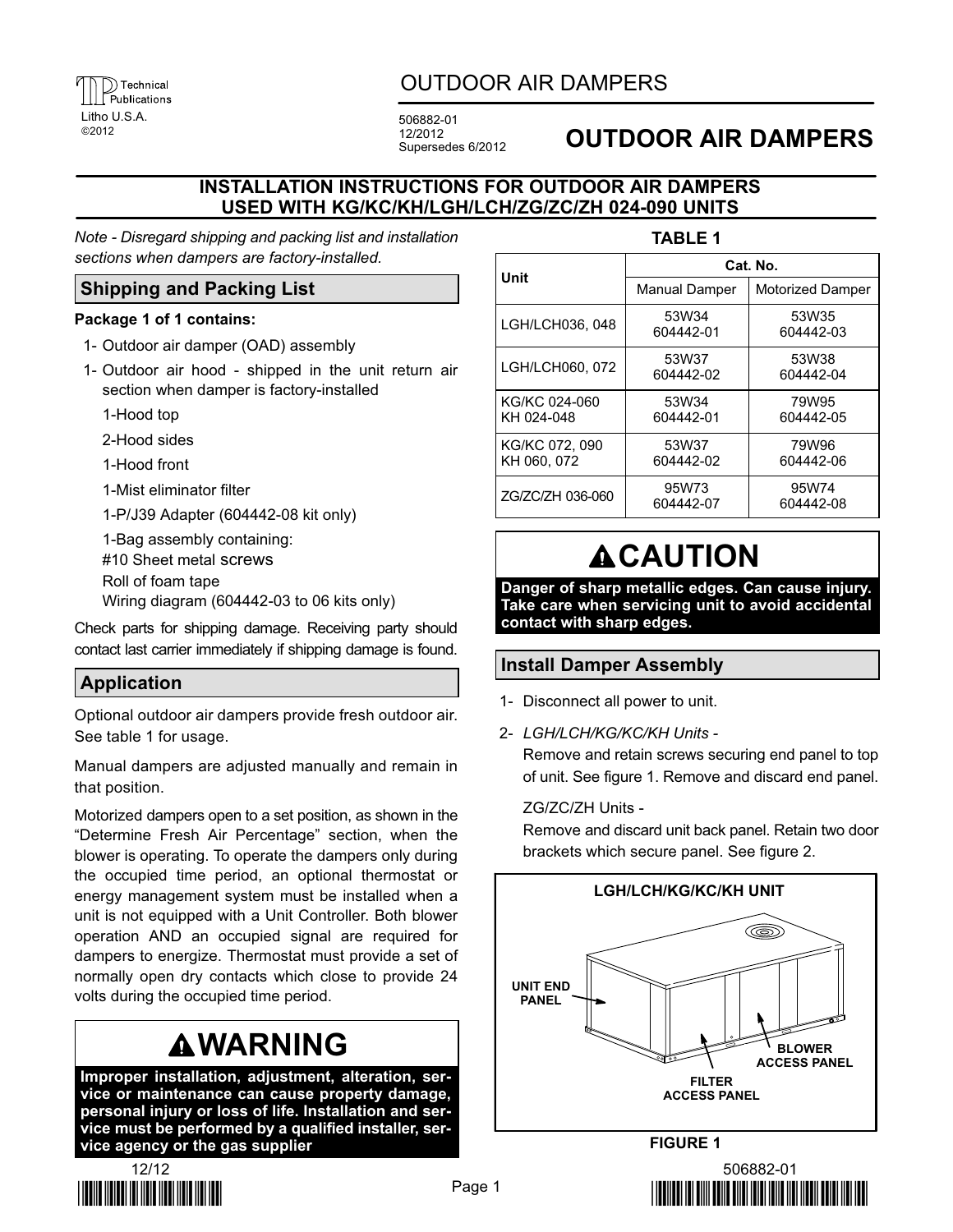

# OUTDOOR AIR DAMPERS

12/2012 Supersedes 6/2012

# <sup>2012</sup> **OUTDOOR AIR DAMPERS**

## **INSTALLATION INSTRUCTIONS FOR OUTDOOR AIR DAMPERS USED WITH KG/KC/KH/LGH/LCH/ZG/ZC/ZH 024-090 UNITS**

*Note - Disregard shipping and packing list and installation sections when dampers are factory-installed.*

# **Shipping and Packing List**

#### **Package 1 of 1 contains:**

- 1- Outdoor air damper (OAD) assembly
- 1- Outdoor air hood shipped in the unit return air section when damper is factory-installed
	- 1-Hood top
	- 2-Hood sides
	- 1-Hood front
	- 1-Mist eliminator filter
	- 1-P/J39 Adapter (604442-08 kit only)
	- 1-Bag assembly containing:
	- #10 Sheet metal screws
	- Roll of foam tape
	- Wiring diagram (604442-03 to 06 kits only)

Check parts for shipping damage. Receiving party should contact last carrier immediately if shipping damage is found.

# **Application**

Optional outdoor air dampers provide fresh outdoor air. See table 1 for usage.

Manual dampers are adjusted manually and remain in that position.

Motorized dampers open to a set position, as shown in the "Determine Fresh Air Percentage" section, when the blower is operating. To operate the dampers only during the occupied time period, an optional thermostat or energy management system must be installed when a unit is not equipped with a Unit Controller. Both blower operation AND an occupied signal are required for dampers to energize. Thermostat must provide a set of normally open dry contacts which close to provide 24 volts during the occupied time period.

# **WARNING**

**Improper installation, adjustment, alteration, service or maintenance can cause property damage, personal injury or loss of life. Installation and service must be performed by a qualified installer, service agency or the gas supplier**



#### **TABLE 1**

| Unit                          | Cat. No.             |                         |
|-------------------------------|----------------------|-------------------------|
|                               | <b>Manual Damper</b> | <b>Motorized Damper</b> |
| LGH/LCH036, 048               | 53W34<br>604442-01   | 53W35<br>604442-03      |
| LGH/LCH060, 072               | 53W37<br>604442-02   | 53W38<br>604442-04      |
| KG/KC 024-060<br>KH 024-048   | 53W34<br>604442-01   | 79W95<br>604442-05      |
| KG/KC 072, 090<br>KH 060, 072 | 53W37<br>604442-02   | 79W96<br>604442-06      |
| ZG/ZC/ZH 036-060              | 95W73<br>604442-07   | 95W74<br>604442-08      |

# **ACAUTION**

**Danger of sharp metallic edges. Can cause injury. Take care when servicing unit to avoid accidental contact with sharp edges.**

## **Install Damper Assembly**

- 1- Disconnect all power to unit.
- 2- *LGH/LCH/KG/KC/KH Units -*

Remove and retain screws securing end panel to top of unit. See figure 1. Remove and discard end panel.

#### ZG/ZC/ZH Units -

Remove and discard unit back panel. Retain two door brackets which secure panel. See figure [2.](#page-1-0)



- 

-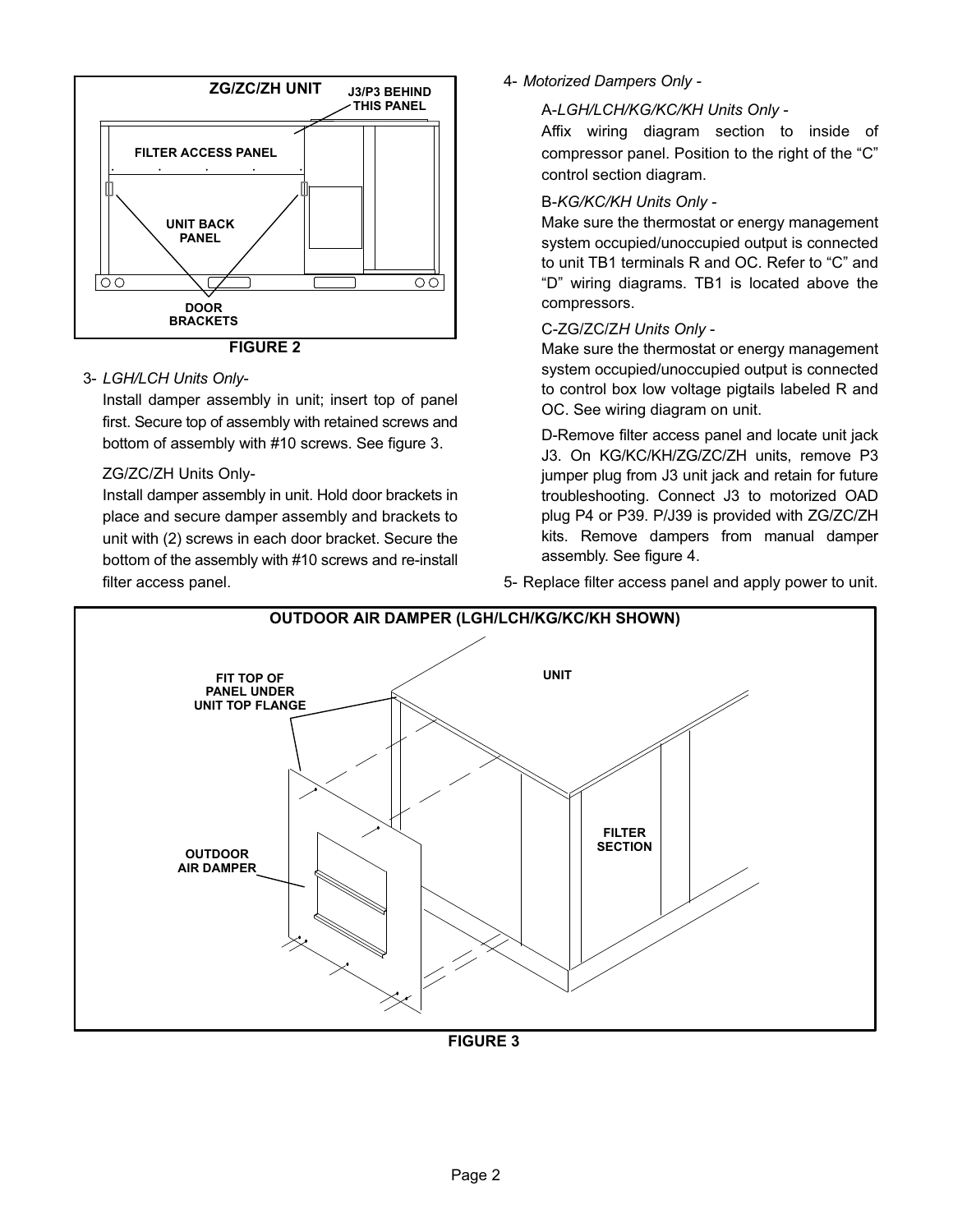<span id="page-1-0"></span>

#### 3- *LGH/LCH Units Only-*

Install damper assembly in unit; insert top of panel first. Secure top of assembly with retained screws and bottom of assembly with #10 screws. See figure 3.

#### ZG/ZC/ZH Units Only-

Install damper assembly in unit. Hold door brackets in place and secure damper assembly and brackets to unit with (2) screws in each door bracket. Secure the bottom of the assembly with #10 screws and re-install filter access panel.

#### 4- *Motorized Dampers Only -*

#### A-*LGH/LCH/KG/KC/KH Units Only -*

Affix wiring diagram section to inside of compressor panel. Position to the right of the "C" control section diagram.

#### B-*KG/KC/KH Units Only -*

Make sure the thermostat or energy management system occupied/unoccupied output is connected to unit TB1 terminals R and OC. Refer to "C" and "D" wiring diagrams. TB1 is located above the compressors.

#### C-ZG/ZC/Z*H Units Only* -

Make sure the thermostat or energy management system occupied/unoccupied output is connected to control box low voltage pigtails labeled R and OC. See wiring diagram on unit.

D-Remove filter access panel and locate unit jack J3. On KG/KC/KH/ZG/ZC/ZH units, remove P3 jumper plug from J3 unit jack and retain for future troubleshooting. Connect J3 to motorized OAD plug P4 or P39. P/J39 is provided with ZG/ZC/ZH kits. Remove dampers from manual damper assembly. See figure [4](#page-2-0).

5- Replace filter access panel and apply power to unit.



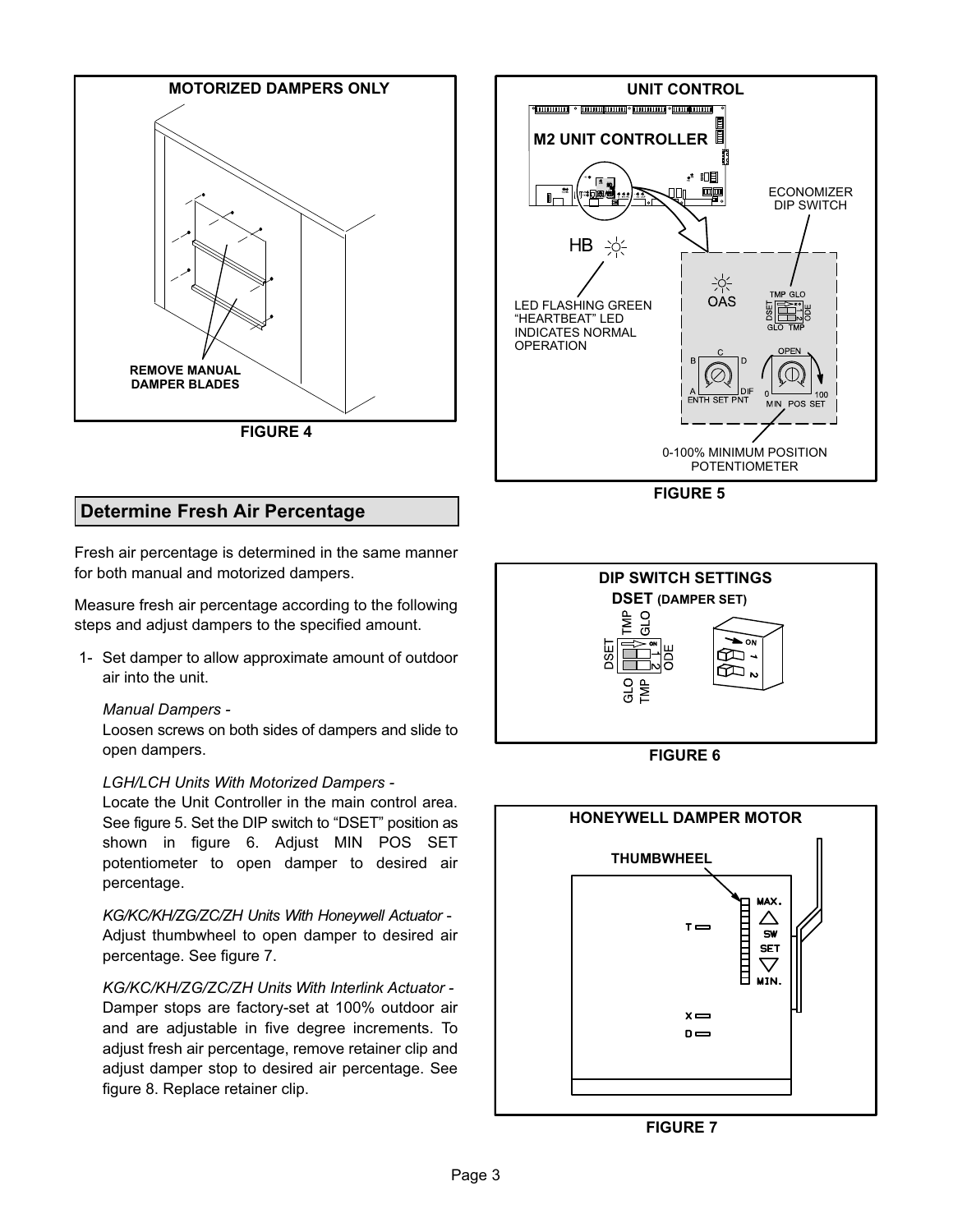<span id="page-2-0"></span>

## **Determine Fresh Air Percentage**

Fresh air percentage is determined in the same manner for both manual and motorized dampers.

Measure fresh air percentage according to the following steps and adjust dampers to the specified amount.

 1- Set damper to allow approximate amount of outdoor air into the unit.

#### *Manual Dampers -*

Loosen screws on both sides of dampers and slide to open dampers.

#### *LGH/LCH Units With Motorized Dampers -*

Locate the Unit Controller in the main control area. See figure 5. Set the DIP switch to "DSET" position as shown in figure 6. Adjust MIN POS SET potentiometer to open damper to desired air percentage.

*KG/KC/KH/ZG/ZC/ZH Units With Honeywell Actuator* - Adjust thumbwheel to open damper to desired air percentage. See figure 7.

#### *KG/KC/KH/ZG/ZC/ZH Units With Interlink Actuator -*

Damper stops are factory-set at 100% outdoor air and are adjustable in five degree increments. To adjust fresh air percentage, remove retainer clip and adjust damper stop to desired air percentage. See figure [8](#page-3-0). Replace retainer clip.



**FIGURE 5**



**FIGURE 6**



**FIGURE 7**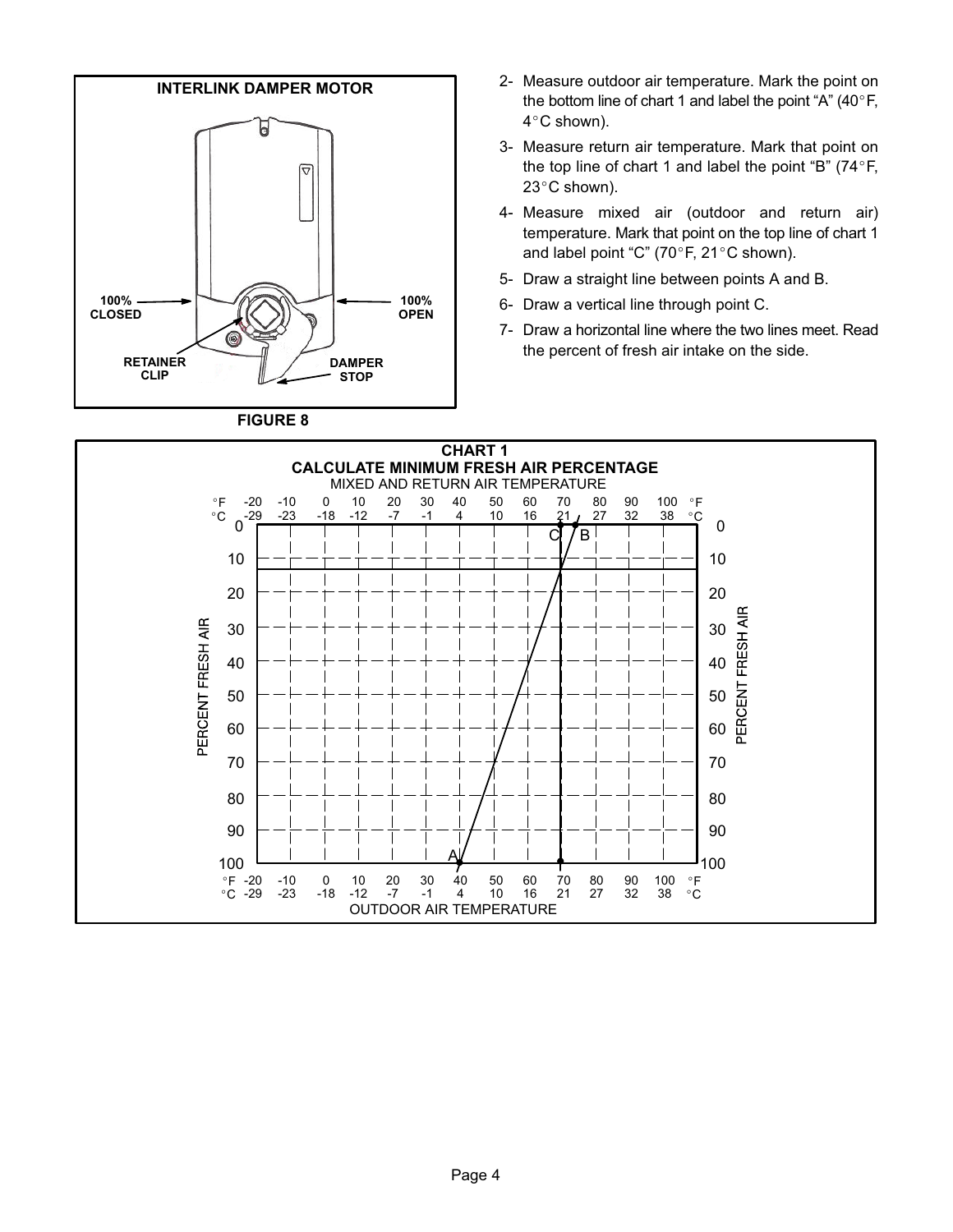<span id="page-3-0"></span>

**FIGURE 8**

- 2- Measure outdoor air temperature. Mark the point on the bottom line of chart 1 and label the point "A"  $(40^{\circ}F,$ the bottom line of chart 1 and label the point "A" (40 $\degree$ F, the bottom l<mark>ir</mark><br>4°C shown).
- 3- Measure return air temperature. Mark that point on Measure return air temperature. Mark that point on<br>the top line of chart 1 and label the point "B" (74°F,<br>23°C shown). 23°C shown).
- 4- Measure mixed air (outdoor and return air) temperature. Mark that point on the top line of chart 1 temperature. Mark that point on the top li<br>and label point "C" (70°F, 21°C shown).
- 5- Draw a straight line between points A and B.
- 6- Draw a vertical line through point C.
- 7- Draw a horizontal line where the two lines meet. Read the percent of fresh air intake on the side.

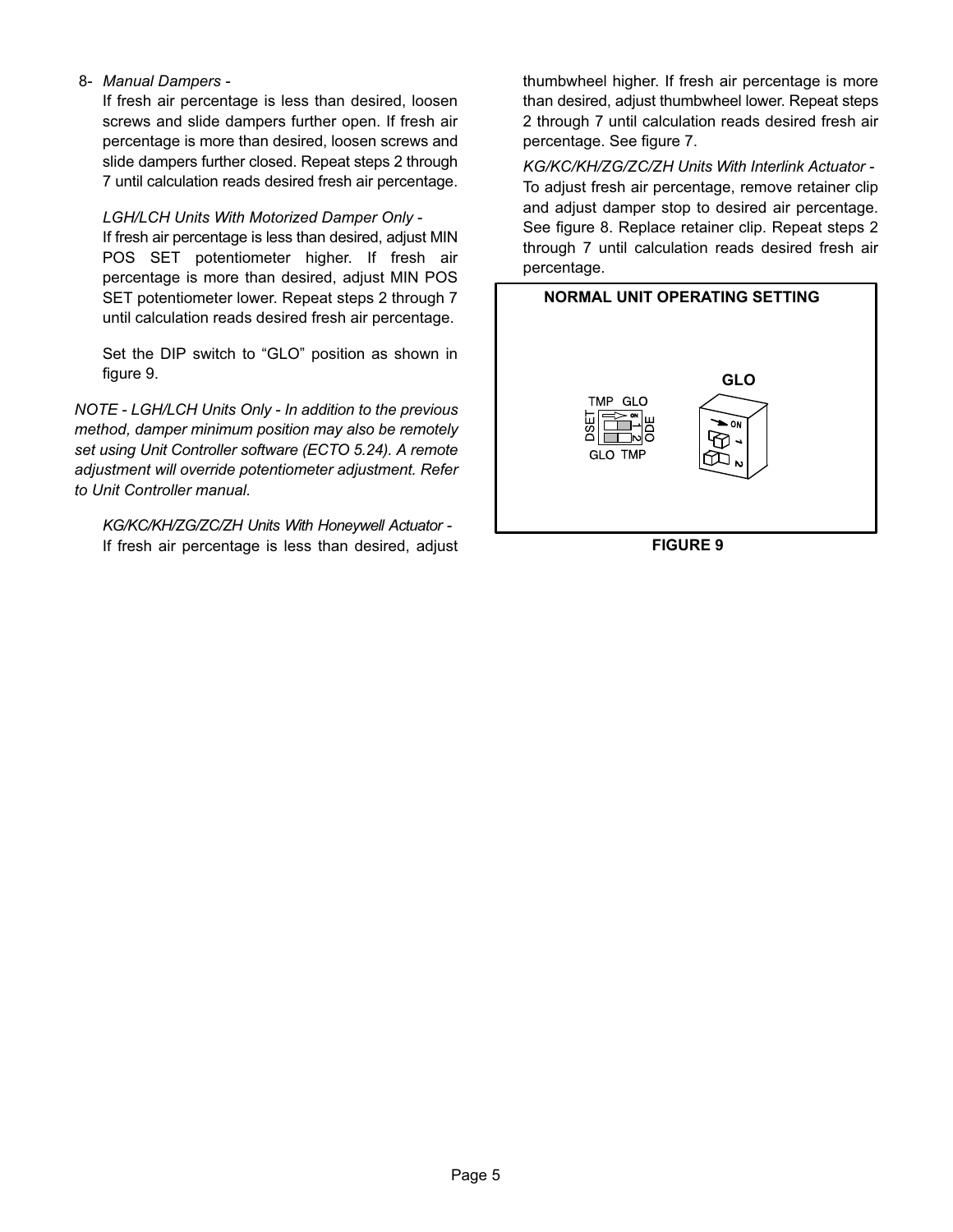#### 8- *Manual Dampers -*

If fresh air percentage is less than desired, loosen screws and slide dampers further open. If fresh air percentage is more than desired, loosen screws and slide dampers further closed. Repeat steps 2 through 7 until calculation reads desired fresh air percentage.

#### *LGH/LCH Units With Motorized Damper Only* -

If fresh air percentage is less than desired, adjust MIN POS SET potentiometer higher. If fresh air percentage is more than desired, adjust MIN POS SET potentiometer lower. Repeat steps 2 through 7 until calculation reads desired fresh air percentage.

Set the DIP switch to "GLO" position as shown in figure 9.

*NOTE - LGH/LCH Units Only - In addition to the previous method, damper minimum position may also be remotely set using Unit Controller software (ECTO 5.24). A remote adjustment will override potentiometer adjustment. Refer to Unit Controller manual.*

*KG/KC/KH/ZG/ZC/ZH Units With Honeywell Actuator -* If fresh air percentage is less than desired, adjust thumbwheel higher. If fresh air percentage is more than desired, adjust thumbwheel lower. Repeat steps 2 through 7 until calculation reads desired fresh air percentage. See figure [7.](#page-2-0)

*KG/KC/KH/ZG/ZC/ZH Units With Interlink Actuator -*  To adjust fresh air percentage, remove retainer clip and adjust damper stop to desired air percentage. See figure [8](#page-3-0). Replace retainer clip. Repeat steps 2 through 7 until calculation reads desired fresh air percentage.



**FIGURE 9**